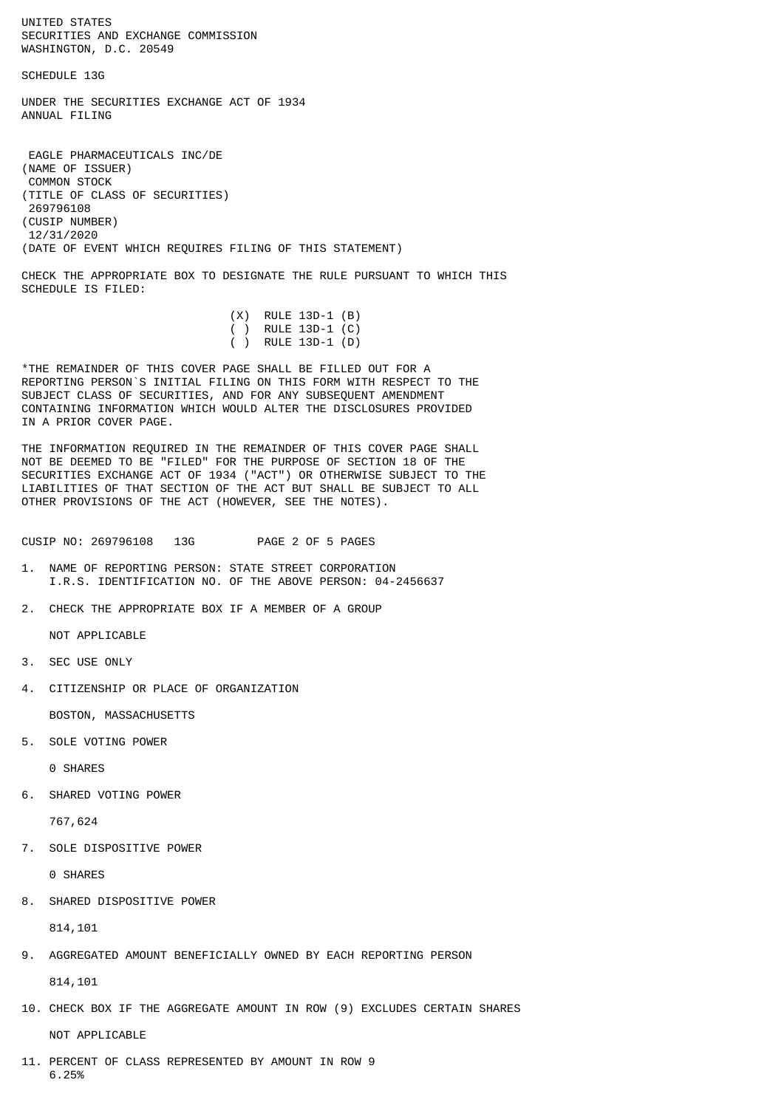UNITED STATES SECURITIES AND EXCHANGE COMMISSION WASHINGTON, D.C. 20549

SCHEDULE 13G

UNDER THE SECURITIES EXCHANGE ACT OF 1934 ANNUAL FILING

 EAGLE PHARMACEUTICALS INC/DE (NAME OF ISSUER) COMMON STOCK (TITLE OF CLASS OF SECURITIES) 269796108 (CUSIP NUMBER) 12/31/2020 (DATE OF EVENT WHICH REQUIRES FILING OF THIS STATEMENT)

CHECK THE APPROPRIATE BOX TO DESIGNATE THE RULE PURSUANT TO WHICH THIS SCHEDULE IS FILED:

|  | $(X)$ RULE 13D-1 $(B)$ |  |
|--|------------------------|--|
|  | ( ) RULE 13D-1 $(C)$   |  |
|  | ( ) RULE 13D-1 (D)     |  |

\*THE REMAINDER OF THIS COVER PAGE SHALL BE FILLED OUT FOR A REPORTING PERSON`S INITIAL FILING ON THIS FORM WITH RESPECT TO THE SUBJECT CLASS OF SECURITIES, AND FOR ANY SUBSEQUENT AMENDMENT CONTAINING INFORMATION WHICH WOULD ALTER THE DISCLOSURES PROVIDED IN A PRIOR COVER PAGE.

THE INFORMATION REQUIRED IN THE REMAINDER OF THIS COVER PAGE SHALL NOT BE DEEMED TO BE "FILED" FOR THE PURPOSE OF SECTION 18 OF THE SECURITIES EXCHANGE ACT OF 1934 ("ACT") OR OTHERWISE SUBJECT TO THE LIABILITIES OF THAT SECTION OF THE ACT BUT SHALL BE SUBJECT TO ALL OTHER PROVISIONS OF THE ACT (HOWEVER, SEE THE NOTES).

CUSIP NO: 269796108 13G PAGE 2 OF 5 PAGES

- 1. NAME OF REPORTING PERSON: STATE STREET CORPORATION I.R.S. IDENTIFICATION NO. OF THE ABOVE PERSON: 04-2456637
- 2. CHECK THE APPROPRIATE BOX IF A MEMBER OF A GROUP

NOT APPLICABLE

- 3. SEC USE ONLY
- 4. CITIZENSHIP OR PLACE OF ORGANIZATION

BOSTON, MASSACHUSETTS

5. SOLE VOTING POWER

0 SHARES

6. SHARED VOTING POWER

767,624

7. SOLE DISPOSITIVE POWER

0 SHARES

8. SHARED DISPOSITIVE POWER

814,101

9. AGGREGATED AMOUNT BENEFICIALLY OWNED BY EACH REPORTING PERSON

814,101

10. CHECK BOX IF THE AGGREGATE AMOUNT IN ROW (9) EXCLUDES CERTAIN SHARES

NOT APPLICABLE

11. PERCENT OF CLASS REPRESENTED BY AMOUNT IN ROW 9 6.25%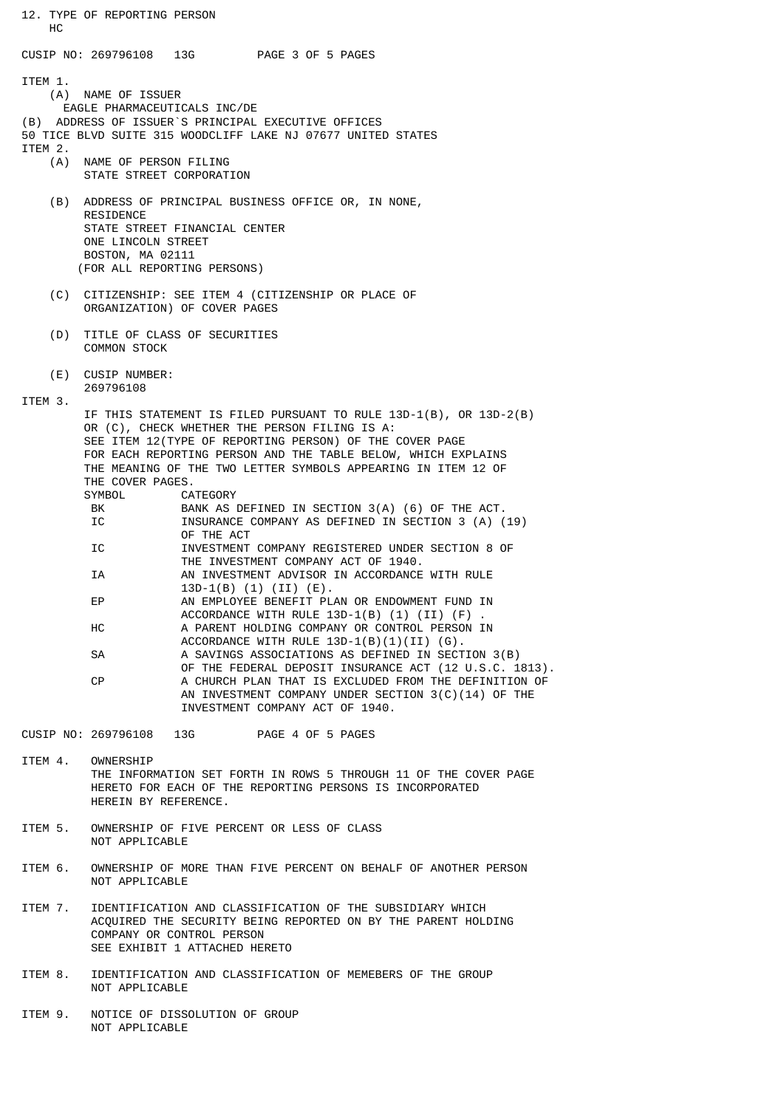12. TYPE OF REPORTING PERSON HC CUSIP NO: 269796108 13G PAGE 3 OF 5 PAGES ITEM 1. (A) NAME OF ISSUER EAGLE PHARMACEUTICALS INC/DE (B) ADDRESS OF ISSUER`S PRINCIPAL EXECUTIVE OFFICES 50 TICE BLVD SUITE 315 WOODCLIFF LAKE NJ 07677 UNITED STATES ITEM 2. (A) NAME OF PERSON FILING STATE STREET CORPORATION (B) ADDRESS OF PRINCIPAL BUSINESS OFFICE OR, IN NONE, RESIDENCE STATE STREET FINANCIAL CENTER ONE LINCOLN STREET BOSTON, MA 02111 (FOR ALL REPORTING PERSONS) (C) CITIZENSHIP: SEE ITEM 4 (CITIZENSHIP OR PLACE OF ORGANIZATION) OF COVER PAGES (D) TITLE OF CLASS OF SECURITIES COMMON STOCK (E) CUSIP NUMBER: 269796108 ITEM 3. IF THIS STATEMENT IS FILED PURSUANT TO RULE 13D-1(B), OR 13D-2(B) OR (C), CHECK WHETHER THE PERSON FILING IS A: SEE ITEM 12(TYPE OF REPORTING PERSON) OF THE COVER PAGE FOR EACH REPORTING PERSON AND THE TABLE BELOW, WHICH EXPLAINS THE MEANING OF THE TWO LETTER SYMBOLS APPEARING IN ITEM 12 OF THE COVER PAGES.<br>SYMBOL CA CATEGORY BK BANK AS DEFINED IN SECTION 3(A) (6) OF THE ACT. INSURANCE COMPANY AS DEFINED IN SECTION 3 (A) (19) OF THE ACT<br>TO TALLESTMENT INVESTMENT COMPANY REGISTERED UNDER SECTION 8 OF THE INVESTMENT COMPANY ACT OF 1940. IA AN INVESTMENT ADVISOR IN ACCORDANCE WITH RULE  $13D-1(B)$   $(1)$   $(II)$   $(E)$ .<br>FP AN EMPLOYEE RENEETT PL AN EMPLOYEE BENEFIT PLAN OR ENDOWMENT FUND IN ACCORDANCE WITH RULE 13D-1(B) (1) (II) (F)<br>HC A PARENT HOLDING COMPANY OR CONTROL PERSON A PARENT HOLDING COMPANY OR CONTROL PERSON IN ACCORDANCE WITH RULE 13D-1(B)(1)(II) (G).<br>A SAVINGS ASSOCIATIONS AS DEFINED IN SECT A SAVINGS ASSOCIATIONS AS DEFINED IN SECTION 3(B) OF THE FEDERAL DEPOSIT INSURANCE ACT (12 U.S.C. 1813). CP A CHURCH PLAN THAT IS EXCLUDED FROM THE DEFINITION OF AN INVESTMENT COMPANY UNDER SECTION 3(C)(14) OF THE INVESTMENT COMPANY ACT OF 1940. CUSIP NO: 269796108 13G PAGE 4 OF 5 PAGES ITEM 4. OWNERSHIP THE INFORMATION SET FORTH IN ROWS 5 THROUGH 11 OF THE COVER PAGE HERETO FOR EACH OF THE REPORTING PERSONS IS INCORPORATED HEREIN BY REFERENCE. ITEM 5. OWNERSHIP OF FIVE PERCENT OR LESS OF CLASS NOT APPLICABLE ITEM 6. OWNERSHIP OF MORE THAN FIVE PERCENT ON BEHALF OF ANOTHER PERSON NOT APPLICABLE ITEM 7. IDENTIFICATION AND CLASSIFICATION OF THE SUBSIDIARY WHICH

 ACQUIRED THE SECURITY BEING REPORTED ON BY THE PARENT HOLDING COMPANY OR CONTROL PERSON SEE EXHIBIT 1 ATTACHED HERETO

ITEM 8. IDENTIFICATION AND CLASSIFICATION OF MEMEBERS OF THE GROUP NOT APPLICABLE

ITEM 9. NOTICE OF DISSOLUTION OF GROUP NOT APPLICABLE